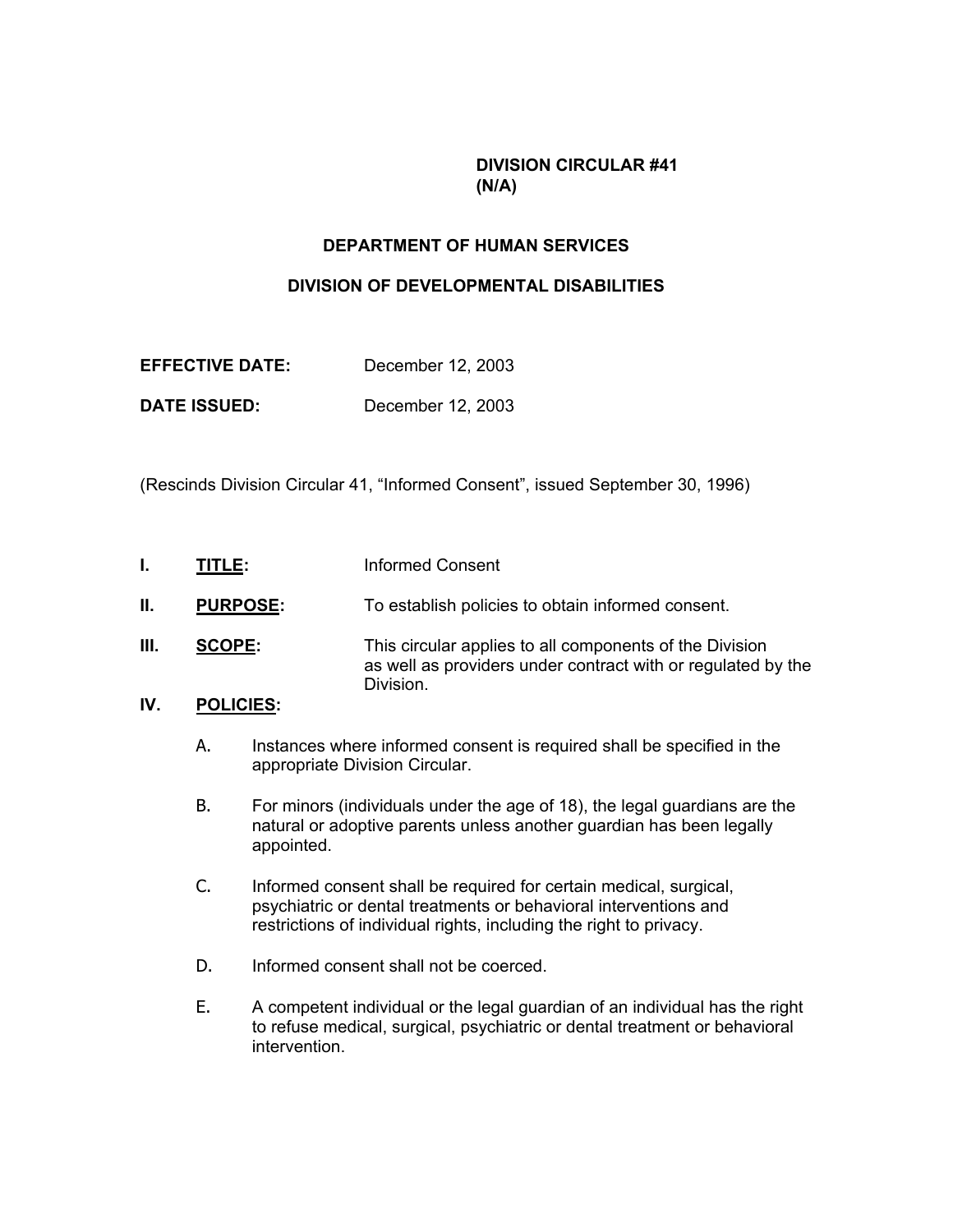### **DIVISION CIRCULAR #41 (N/A)**

#### **DEPARTMENT OF HUMAN SERVICES**

## **DIVISION OF DEVELOPMENTAL DISABILITIES**

| <b>EFFECTIVE DATE:</b> | December 12, 2003 |
|------------------------|-------------------|
|------------------------|-------------------|

**DATE ISSUED:** December 12, 2003

(Rescinds Division Circular 41, "Informed Consent", issued September 30, 1996)

- **I.** TITLE: Informed Consent
- **II.** PURPOSE: To establish policies to obtain informed consent.
- **III.** SCOPE: This circular applies to all components of the Division as well as providers under contract with or regulated by the Division.

# **IV. POLICIES:**

- A. Instances where informed consent is required shall be specified in the appropriate Division Circular.
- B. For minors (individuals under the age of 18), the legal guardians are the natural or adoptive parents unless another guardian has been legally appointed.
- C. Informed consent shall be required for certain medical, surgical, psychiatric or dental treatments or behavioral interventions and restrictions of individual rights, including the right to privacy.
- D. Informed consent shall not be coerced.
- E. A competent individual or the legal guardian of an individual has the right to refuse medical, surgical, psychiatric or dental treatment or behavioral intervention.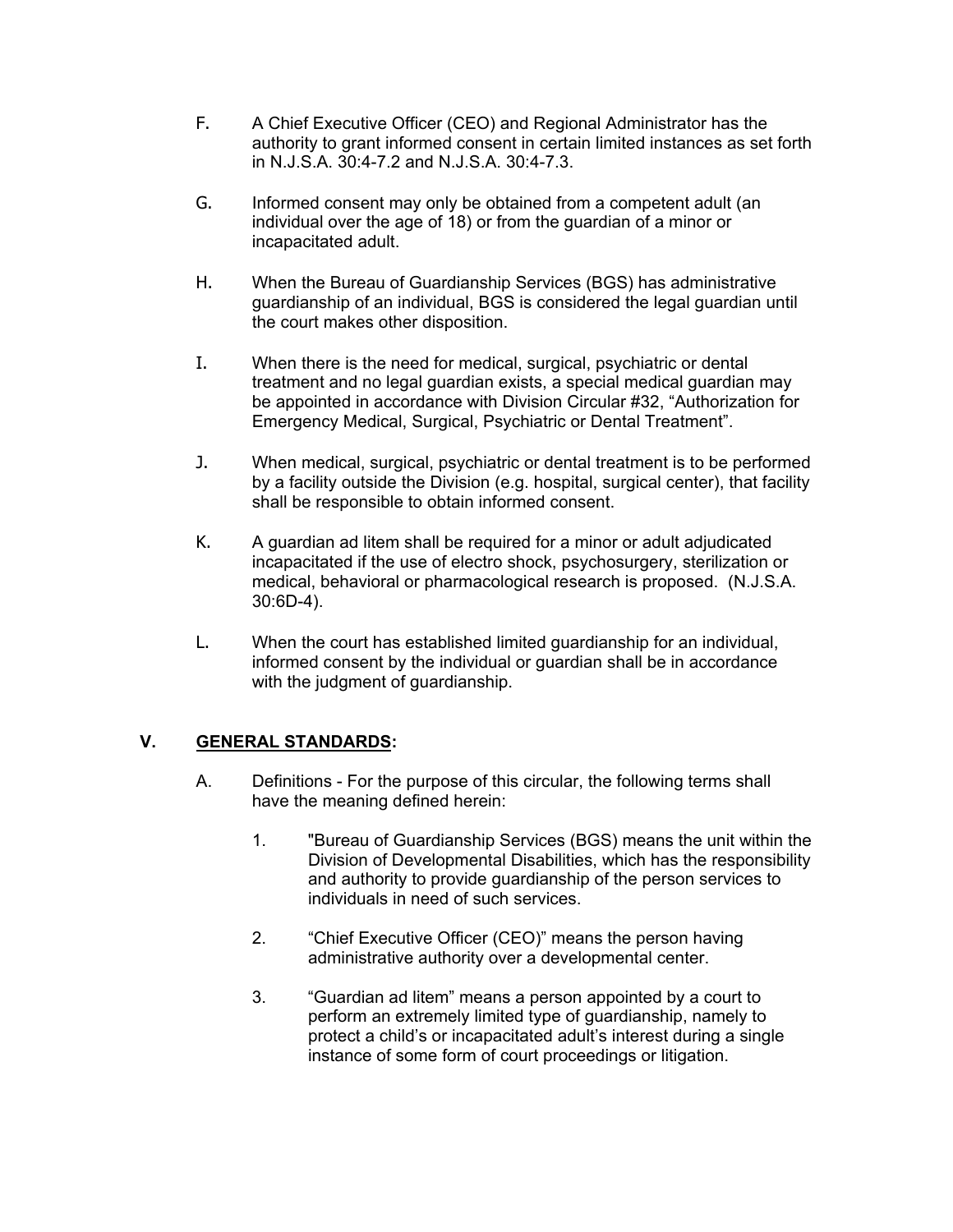- F. A Chief Executive Officer (CEO) and Regional Administrator has the authority to grant informed consent in certain limited instances as set forth in N.J.S.A. 30:4-7.2 and N.J.S.A. 30:4-7.3.
- G. Informed consent may only be obtained from a competent adult (an individual over the age of 18) or from the guardian of a minor or incapacitated adult.
- H. When the Bureau of Guardianship Services (BGS) has administrative guardianship of an individual, BGS is considered the legal guardian until the court makes other disposition.
- I. When there is the need for medical, surgical, psychiatric or dental treatment and no legal guardian exists, a special medical guardian may be appointed in accordance with Division Circular #32, "Authorization for Emergency Medical, Surgical, Psychiatric or Dental Treatment".
- J. When medical, surgical, psychiatric or dental treatment is to be performed by a facility outside the Division (e.g. hospital, surgical center), that facility shall be responsible to obtain informed consent.
- K. A guardian ad litem shall be required for a minor or adult adjudicated incapacitated if the use of electro shock, psychosurgery, sterilization or medical, behavioral or pharmacological research is proposed. (N.J.S.A. 30:6D-4).
- L. When the court has established limited guardianship for an individual, informed consent by the individual or guardian shall be in accordance with the judgment of guardianship.

### **V. GENERAL STANDARDS:**

- A. Definitions For the purpose of this circular, the following terms shall have the meaning defined herein:
	- 1. "Bureau of Guardianship Services (BGS) means the unit within the Division of Developmental Disabilities, which has the responsibility and authority to provide guardianship of the person services to individuals in need of such services.
	- 2. "Chief Executive Officer (CEO)" means the person having administrative authority over a developmental center.
	- 3. "Guardian ad litem" means a person appointed by a court to perform an extremely limited type of guardianship, namely to protect a child's or incapacitated adult's interest during a single instance of some form of court proceedings or litigation.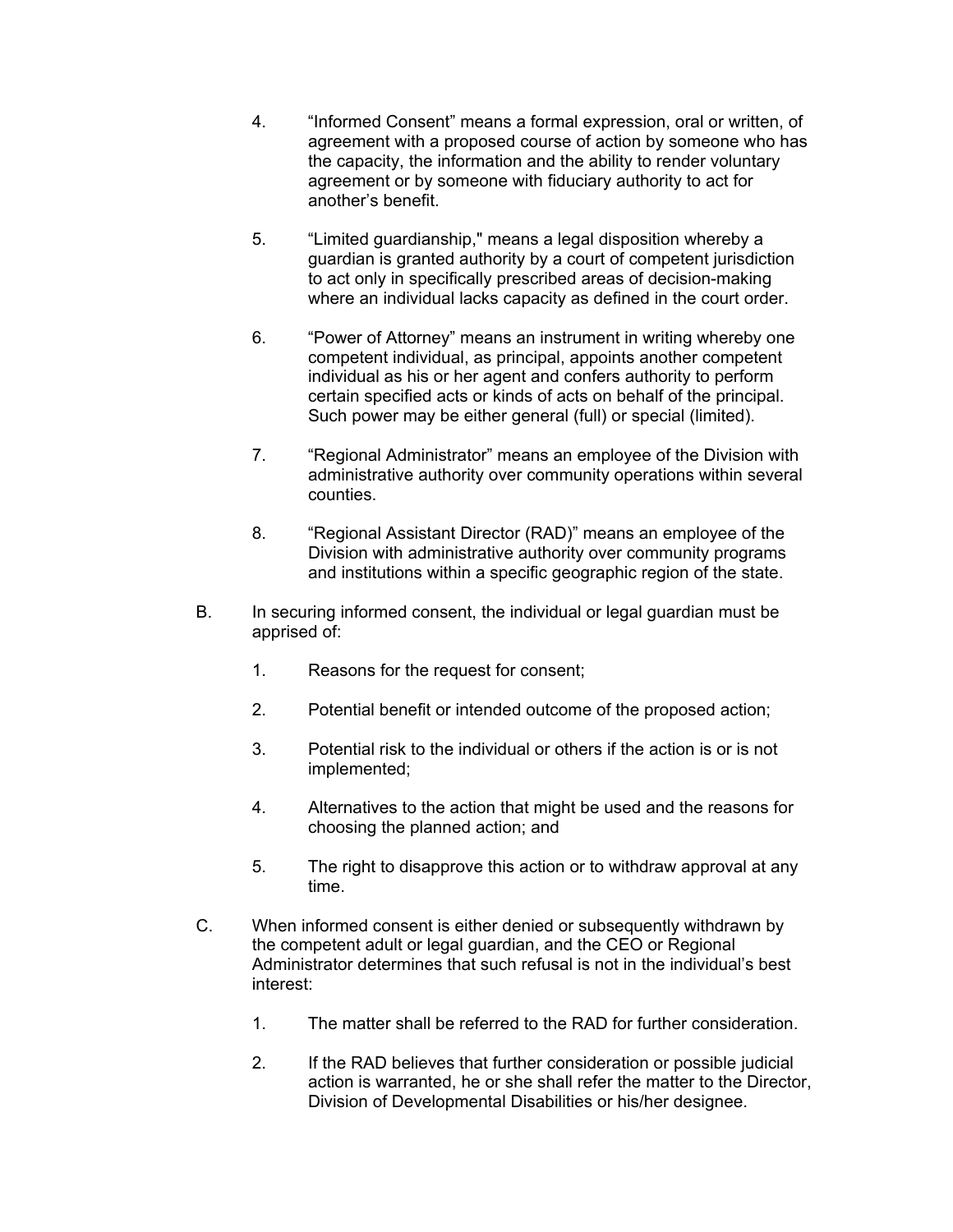- 4. "Informed Consent" means a formal expression, oral or written, of agreement with a proposed course of action by someone who has the capacity, the information and the ability to render voluntary agreement or by someone with fiduciary authority to act for another's benefit.
- 5. "Limited guardianship," means a legal disposition whereby a guardian is granted authority by a court of competent jurisdiction to act only in specifically prescribed areas of decision-making where an individual lacks capacity as defined in the court order.
- 6. "Power of Attorney" means an instrument in writing whereby one competent individual, as principal, appoints another competent individual as his or her agent and confers authority to perform certain specified acts or kinds of acts on behalf of the principal. Such power may be either general (full) or special (limited).
- 7. "Regional Administrator" means an employee of the Division with administrative authority over community operations within several counties.
- 8. "Regional Assistant Director (RAD)" means an employee of the Division with administrative authority over community programs and institutions within a specific geographic region of the state.
- B. In securing informed consent, the individual or legal guardian must be apprised of:
	- 1. Reasons for the request for consent;
	- 2. Potential benefit or intended outcome of the proposed action;
	- 3. Potential risk to the individual or others if the action is or is not implemented;
	- 4. Alternatives to the action that might be used and the reasons for choosing the planned action; and
	- 5. The right to disapprove this action or to withdraw approval at any time.
- C. When informed consent is either denied or subsequently withdrawn by the competent adult or legal guardian, and the CEO or Regional Administrator determines that such refusal is not in the individual's best interest:
	- 1. The matter shall be referred to the RAD for further consideration.
	- 2. If the RAD believes that further consideration or possible judicial action is warranted, he or she shall refer the matter to the Director, Division of Developmental Disabilities or his/her designee.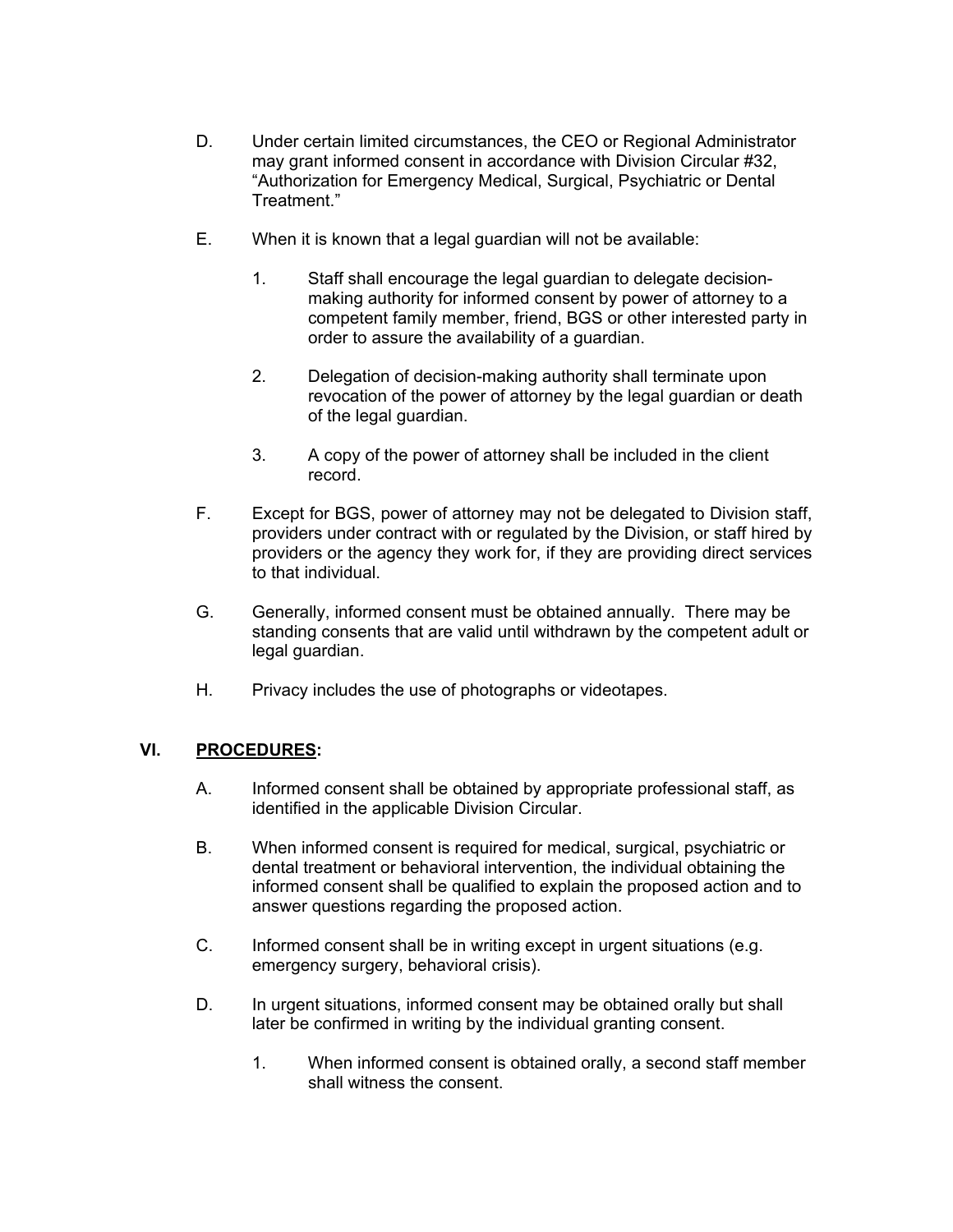- D. Under certain limited circumstances, the CEO or Regional Administrator may grant informed consent in accordance with Division Circular #32, "Authorization for Emergency Medical, Surgical, Psychiatric or Dental Treatment."
- E. When it is known that a legal guardian will not be available:
	- 1. Staff shall encourage the legal guardian to delegate decisionmaking authority for informed consent by power of attorney to a competent family member, friend, BGS or other interested party in order to assure the availability of a guardian.
	- 2. Delegation of decision-making authority shall terminate upon revocation of the power of attorney by the legal guardian or death of the legal guardian.
	- 3. A copy of the power of attorney shall be included in the client record.
- F. Except for BGS, power of attorney may not be delegated to Division staff, providers under contract with or regulated by the Division, or staff hired by providers or the agency they work for, if they are providing direct services to that individual.
- G. Generally, informed consent must be obtained annually. There may be standing consents that are valid until withdrawn by the competent adult or legal guardian.
- H. Privacy includes the use of photographs or videotapes.

# **VI. PROCEDURES:**

- A. Informed consent shall be obtained by appropriate professional staff, as identified in the applicable Division Circular.
- B. When informed consent is required for medical, surgical, psychiatric or dental treatment or behavioral intervention, the individual obtaining the informed consent shall be qualified to explain the proposed action and to answer questions regarding the proposed action.
- C. Informed consent shall be in writing except in urgent situations (e.g. emergency surgery, behavioral crisis).
- D. In urgent situations, informed consent may be obtained orally but shall later be confirmed in writing by the individual granting consent.
	- 1. When informed consent is obtained orally, a second staff member shall witness the consent.